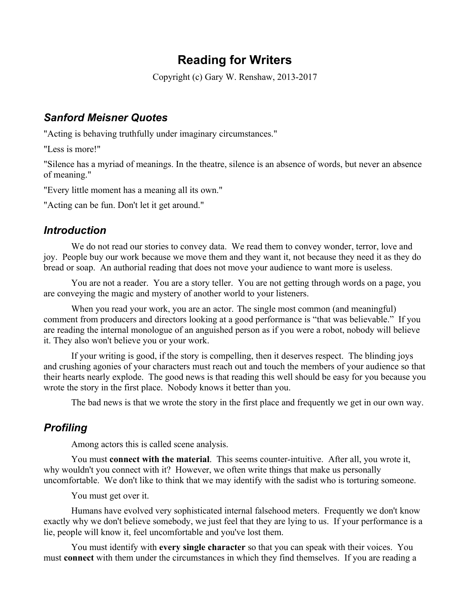# **Reading for Writers**

Copyright (c) Gary W. Renshaw, 2013-2017

# *Sanford Meisner Quotes*

"Acting is behaving truthfully under imaginary circumstances."

"Less is more!"

"Silence has a myriad of meanings. In the theatre, silence is an absence of words, but never an absence of meaning."

"Every little moment has a meaning all its own."

"Acting can be fun. Don't let it get around."

## *Introduction*

We do not read our stories to convey data. We read them to convey wonder, terror, love and joy. People buy our work because we move them and they want it, not because they need it as they do bread or soap. An authorial reading that does not move your audience to want more is useless.

You are not a reader. You are a story teller. You are not getting through words on a page, you are conveying the magic and mystery of another world to your listeners.

When you read your work, you are an actor. The single most common (and meaningful) comment from producers and directors looking at a good performance is "that was believable." If you are reading the internal monologue of an anguished person as if you were a robot, nobody will believe it. They also won't believe you or your work.

If your writing is good, if the story is compelling, then it deserves respect. The blinding joys and crushing agonies of your characters must reach out and touch the members of your audience so that their hearts nearly explode. The good news is that reading this well should be easy for you because you wrote the story in the first place. Nobody knows it better than you.

The bad news is that we wrote the story in the first place and frequently we get in our own way.

# *Profiling*

Among actors this is called scene analysis.

You must **connect with the material**. This seems counter-intuitive. After all, you wrote it, why wouldn't you connect with it? However, we often write things that make us personally uncomfortable. We don't like to think that we may identify with the sadist who is torturing someone.

You must get over it.

Humans have evolved very sophisticated internal falsehood meters. Frequently we don't know exactly why we don't believe somebody, we just feel that they are lying to us. If your performance is a lie, people will know it, feel uncomfortable and you've lost them.

You must identify with **every single character** so that you can speak with their voices. You must **connect** with them under the circumstances in which they find themselves. If you are reading a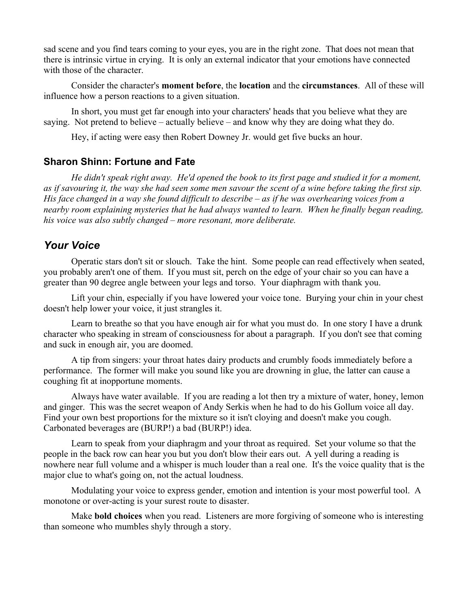sad scene and you find tears coming to your eyes, you are in the right zone. That does not mean that there is intrinsic virtue in crying. It is only an external indicator that your emotions have connected with those of the character.

Consider the character's **moment before**, the **location** and the **circumstances**. All of these will influence how a person reactions to a given situation.

In short, you must get far enough into your characters' heads that you believe what they are saying. Not pretend to believe – actually believe – and know why they are doing what they do.

Hey, if acting were easy then Robert Downey Jr. would get five bucks an hour.

#### **Sharon Shinn: Fortune and Fate**

*He didn't speak right away. He'd opened the book to its first page and studied it for a moment, as if savouring it, the way she had seen some men savour the scent of a wine before taking the first sip. His face changed in a way she found difficult to describe – as if he was overhearing voices from a nearby room explaining mysteries that he had always wanted to learn. When he finally began reading, his voice was also subtly changed – more resonant, more deliberate.*

#### *Your Voice*

Operatic stars don't sit or slouch. Take the hint. Some people can read effectively when seated, you probably aren't one of them. If you must sit, perch on the edge of your chair so you can have a greater than 90 degree angle between your legs and torso. Your diaphragm with thank you.

Lift your chin, especially if you have lowered your voice tone. Burying your chin in your chest doesn't help lower your voice, it just strangles it.

Learn to breathe so that you have enough air for what you must do. In one story I have a drunk character who speaking in stream of consciousness for about a paragraph. If you don't see that coming and suck in enough air, you are doomed.

A tip from singers: your throat hates dairy products and crumbly foods immediately before a performance. The former will make you sound like you are drowning in glue, the latter can cause a coughing fit at inopportune moments.

Always have water available. If you are reading a lot then try a mixture of water, honey, lemon and ginger. This was the secret weapon of Andy Serkis when he had to do his Gollum voice all day. Find your own best proportions for the mixture so it isn't cloying and doesn't make you cough. Carbonated beverages are (BURP!) a bad (BURP!) idea.

Learn to speak from your diaphragm and your throat as required. Set your volume so that the people in the back row can hear you but you don't blow their ears out. A yell during a reading is nowhere near full volume and a whisper is much louder than a real one. It's the voice quality that is the major clue to what's going on, not the actual loudness.

Modulating your voice to express gender, emotion and intention is your most powerful tool. A monotone or over-acting is your surest route to disaster.

Make **bold choices** when you read. Listeners are more forgiving of someone who is interesting than someone who mumbles shyly through a story.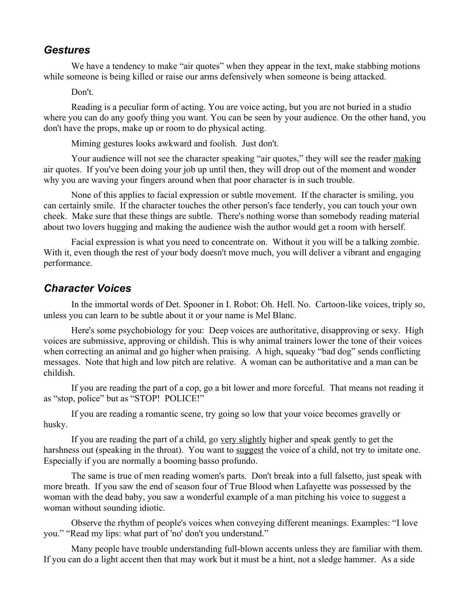#### *Gestures*

We have a tendency to make "air quotes" when they appear in the text, make stabbing motions while someone is being killed or raise our arms defensively when someone is being attacked.

Don't.

Reading is a peculiar form of acting. You are voice acting, but you are not buried in a studio where you can do any goofy thing you want. You can be seen by your audience. On the other hand, you don't have the props, make up or room to do physical acting.

Miming gestures looks awkward and foolish. Just don't.

Your audience will not see the character speaking "air quotes," they will see the reader making air quotes. If you've been doing your job up until then, they will drop out of the moment and wonder why you are waving your fingers around when that poor character is in such trouble.

None of this applies to facial expression or subtle movement. If the character is smiling, you can certainly smile. If the character touches the other person's face tenderly, you can touch your own cheek. Make sure that these things are subtle. There's nothing worse than somebody reading material about two lovers hugging and making the audience wish the author would get a room with herself.

Facial expression is what you need to concentrate on. Without it you will be a talking zombie. With it, even though the rest of your body doesn't move much, you will deliver a vibrant and engaging performance.

#### *Character Voices*

In the immortal words of Det. Spooner in I. Robot: Oh. Hell. No. Cartoon-like voices, triply so, unless you can learn to be subtle about it or your name is Mel Blanc.

Here's some psychobiology for you: Deep voices are authoritative, disapproving or sexy. High voices are submissive, approving or childish. This is why animal trainers lower the tone of their voices when correcting an animal and go higher when praising. A high, squeaky "bad dog" sends conflicting messages. Note that high and low pitch are relative. A woman can be authoritative and a man can be childish.

If you are reading the part of a cop, go a bit lower and more forceful. That means not reading it as "stop, police" but as "STOP! POLICE!"

If you are reading a romantic scene, try going so low that your voice becomes gravelly or husky.

If you are reading the part of a child, go very slightly higher and speak gently to get the harshness out (speaking in the throat). You want to suggest the voice of a child, not try to imitate one. Especially if you are normally a booming basso profundo.

The same is true of men reading women's parts. Don't break into a full falsetto, just speak with more breath. If you saw the end of season four of True Blood when Lafayette was possessed by the woman with the dead baby, you saw a wonderful example of a man pitching his voice to suggest a woman without sounding idiotic.

Observe the rhythm of people's voices when conveying different meanings. Examples: "I love you." "Read my lips: what part of 'no' don't you understand."

Many people have trouble understanding full-blown accents unless they are familiar with them. If you can do a light accent then that may work but it must be a hint, not a sledge hammer. As a side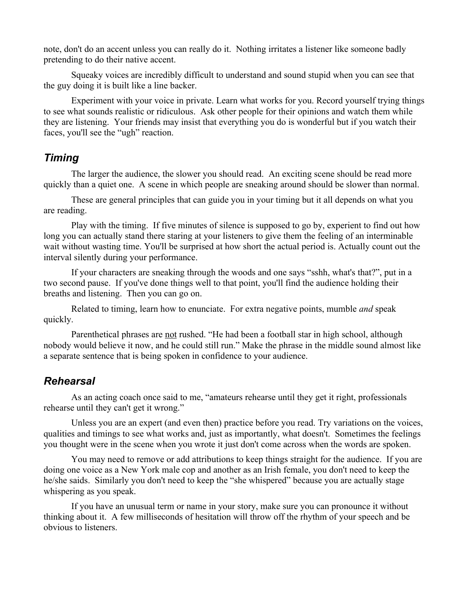note, don't do an accent unless you can really do it. Nothing irritates a listener like someone badly pretending to do their native accent.

Squeaky voices are incredibly difficult to understand and sound stupid when you can see that the guy doing it is built like a line backer.

Experiment with your voice in private. Learn what works for you. Record yourself trying things to see what sounds realistic or ridiculous. Ask other people for their opinions and watch them while they are listening. Your friends may insist that everything you do is wonderful but if you watch their faces, you'll see the "ugh" reaction.

#### *Timing*

The larger the audience, the slower you should read. An exciting scene should be read more quickly than a quiet one. A scene in which people are sneaking around should be slower than normal.

These are general principles that can guide you in your timing but it all depends on what you are reading.

Play with the timing. If five minutes of silence is supposed to go by, experient to find out how long you can actually stand there staring at your listeners to give them the feeling of an interminable wait without wasting time. You'll be surprised at how short the actual period is. Actually count out the interval silently during your performance.

If your characters are sneaking through the woods and one says "sshh, what's that?", put in a two second pause. If you've done things well to that point, you'll find the audience holding their breaths and listening. Then you can go on.

Related to timing, learn how to enunciate. For extra negative points, mumble *and* speak quickly.

Parenthetical phrases are not rushed. "He had been a football star in high school, although nobody would believe it now, and he could still run." Make the phrase in the middle sound almost like a separate sentence that is being spoken in confidence to your audience.

# *Rehearsal*

As an acting coach once said to me, "amateurs rehearse until they get it right, professionals rehearse until they can't get it wrong."

Unless you are an expert (and even then) practice before you read. Try variations on the voices, qualities and timings to see what works and, just as importantly, what doesn't. Sometimes the feelings you thought were in the scene when you wrote it just don't come across when the words are spoken.

You may need to remove or add attributions to keep things straight for the audience. If you are doing one voice as a New York male cop and another as an Irish female, you don't need to keep the he/she saids. Similarly you don't need to keep the "she whispered" because you are actually stage whispering as you speak.

If you have an unusual term or name in your story, make sure you can pronounce it without thinking about it. A few milliseconds of hesitation will throw off the rhythm of your speech and be obvious to listeners.